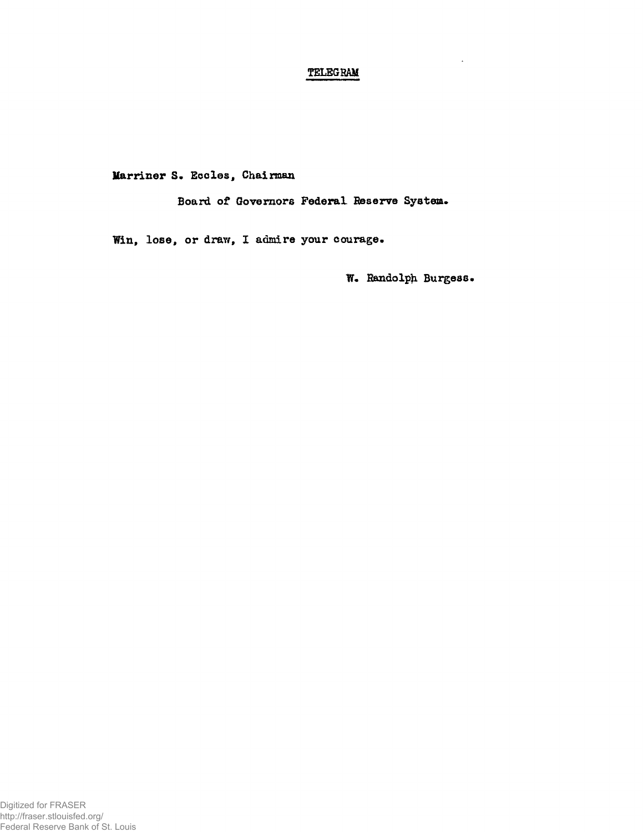## **TELEGBAM**

**Marriner S. Eccles, Chairman** 

**Board of Governors Federal Reserve System.** 

**Win, lose, or draw, X admire your courage.** 

**W. Randolph Burgess.**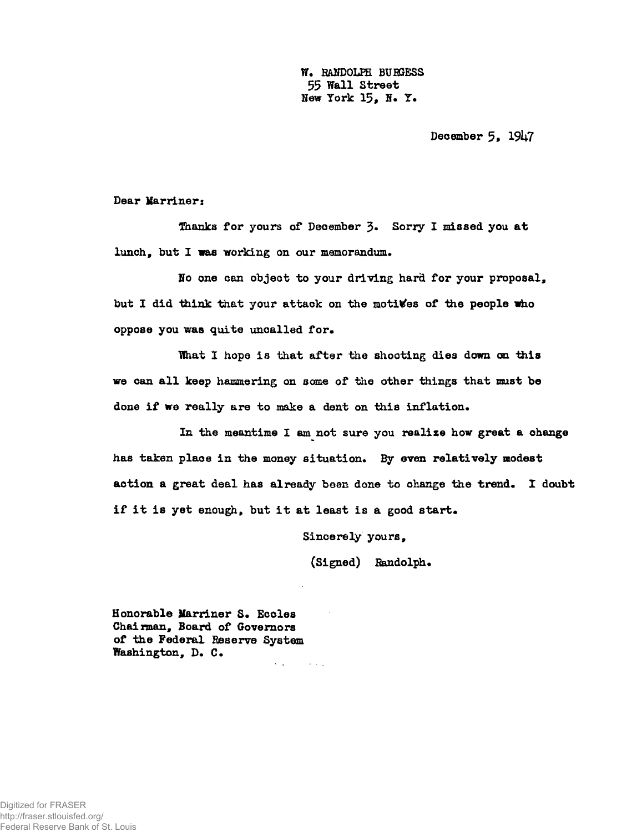**W. RANDOLPH BUEGESS**  55 **Wall Street Hew York 15, H. Y.** 

December 5, 1947

**Dear Marriner:** 

**Shanks for yours of December 3- Sony I missed you at**  lunch, but I was working on our memorandum.

**Ho one can object to your driving hard for your proposal, but I did think that your attack on the motives of** *ihe* **people who**  oppose you was quite uncalled for.

What I hope is that after the shooting dies down on this **we can al l keep hammering on some of the other things that must be done i f we really are to make a dent on this inflation.** 

**In the meantime I am not sure you realize how great a change has taken place in the money situation. By even relatively modest**  action a great deal has already been done to change the trend. I doubt **i f i t is yet enough, but i t at least is a good start.** 

**Sincerely yours,** 

**(Signed) Randolph.** 

**Honorable Marriner S. Eccles Chai man, Board of Governors of the Federal Beserve System Washington, D. C.** 

 $\mathbf{v}=\mathbf{r}$  .

**Contractor**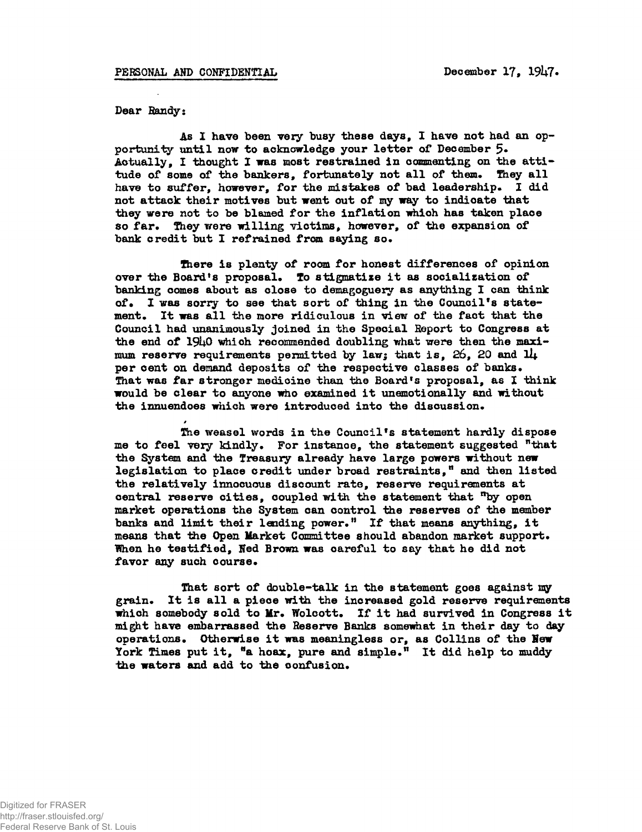*»* 

Dear Handy:

As I have been very busy these days, I have not had an opportunity until now to acknowledge your letter of December 5. Actually, I thought I was most restrained in commenting on the attitude of some of the bankers, fortunately not all of them. They all have to suffer, however, for the mistakes of bad leadership. I did not attack their motives but went out of my way to indicate that they were not to be blamed for the inflation which has taken place so far. They were willing victims, however, of the expansion of bank credit but I refrained from saying so.

There is plenty of room for honest differences of opinion over the Board's proposal. To stigmatize it as socialization of banking comes about as close to demagoguery as anything I can think of. I was sorry to see that sort of thing in the Council's statement. It was all the more ridiculous in view of the fact that the Council had unanimously joined in the Special Report to Congress at the end of 19h0 which recommended doubling what were then the maximum reserve requirements permitted by law; that is,  $26$ ,  $20$  and  $1\text{L}$ per cent on demand deposits of the respective classes of banks. That was far stronger medicine than the Board's proposal, as I think would be clear to anyone who examined it unemotionally and without the innuendoes which were introduced into the discussion.

The weasel words in the Council's statement hardly dispose me to feel very kindly. For instance, the statement suggested "that the System and the Treasury already have large powers without new legislation to place credit under broad restraints," and then listed the relatively innocuous discount rate, reserve requirements at central reserve cities, coupled with the statement that "by open market operations the System can control the reserves of the member banks and limit their lending power." If that means anything, it means that the Open Market Committee should abandon market support. When he testified, Ned Brown was careful to say that he did not favor any such course.

That sort of double-talk in the statement goes against my grain. It is all a piece with the increased gold reserve requirements which somebody sold to Mr. Wolcott. If it had survived in Congress it might have embarrassed the Reserve Banks somewhat in their day to day operations. Otherwise it was meaningless or, as Collins of the New York Times put it, "a hoax, pure and simple." It did help to muddy the waters and add to the confusion.